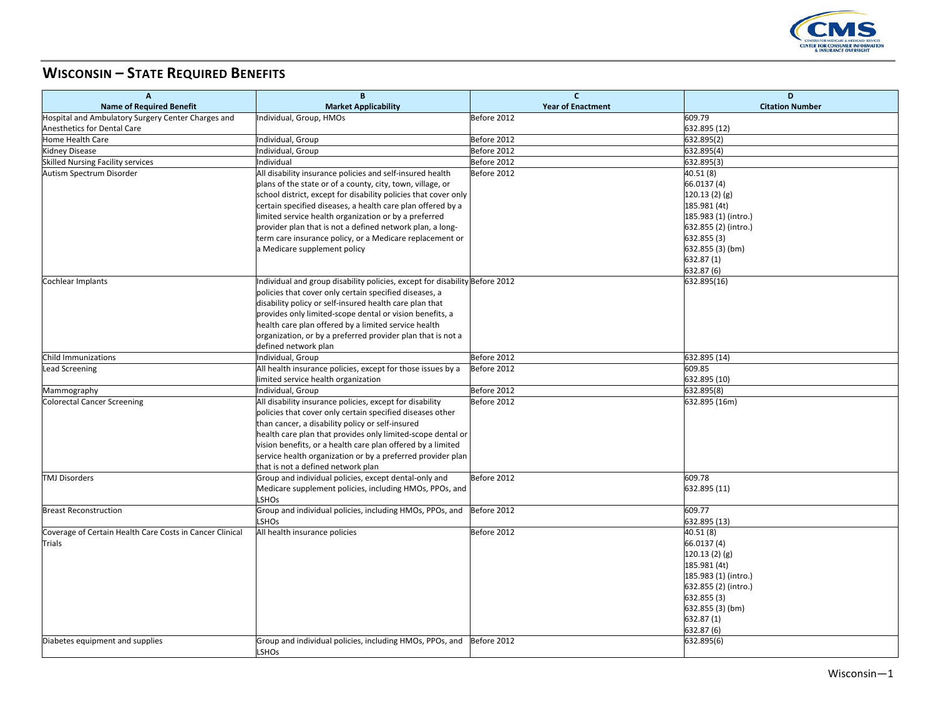

## **WISCONSIN – STATE REQUIRED BENEFITS**

| $\overline{A}$                                           | B                                                                                    | $\mathbf{C}$             | D                          |
|----------------------------------------------------------|--------------------------------------------------------------------------------------|--------------------------|----------------------------|
| <b>Name of Required Benefit</b>                          | <b>Market Applicability</b>                                                          | <b>Year of Enactment</b> | <b>Citation Number</b>     |
| Hospital and Ambulatory Surgery Center Charges and       | Individual, Group, HMOs                                                              | Before 2012              | 609.79                     |
| Anesthetics for Dental Care                              |                                                                                      |                          | 632.895 (12)               |
| <b>Home Health Care</b>                                  | Individual, Group                                                                    | Before 2012              | 632.895(2)                 |
| <b>Kidney Disease</b>                                    | Individual, Group                                                                    | Before 2012              | 632.895(4)                 |
| <b>Skilled Nursing Facility services</b>                 | ndividual                                                                            | Before 2012              | 632.895(3)                 |
| Autism Spectrum Disorder                                 | All disability insurance policies and self-insured health                            | Before 2012              | 40.51 (8)                  |
|                                                          | plans of the state or of a county, city, town, village, or                           |                          | 66.0137 (4)                |
|                                                          | school district, except for disability policies that cover only                      |                          | 120.13(2)(g)               |
|                                                          | certain specified diseases, a health care plan offered by a                          |                          | 185.981 (4t)               |
|                                                          | limited service health organization or by a preferred                                |                          | 185.983 (1) (intro.)       |
|                                                          | provider plan that is not a defined network plan, a long-                            |                          | 632.855 (2) (intro.)       |
|                                                          | term care insurance policy, or a Medicare replacement or                             |                          | 632.855 (3)                |
|                                                          | a Medicare supplement policy                                                         |                          | 632.855 (3) (bm)           |
|                                                          |                                                                                      |                          | 632.87 (1)                 |
|                                                          |                                                                                      |                          | 632.87 (6)                 |
| Cochlear Implants                                        | Individual and group disability policies, except for disability Before 2012          |                          | 632.895(16)                |
|                                                          | policies that cover only certain specified diseases, a                               |                          |                            |
|                                                          | disability policy or self-insured health care plan that                              |                          |                            |
|                                                          | provides only limited-scope dental or vision benefits, a                             |                          |                            |
|                                                          | health care plan offered by a limited service health                                 |                          |                            |
|                                                          | organization, or by a preferred provider plan that is not a                          |                          |                            |
|                                                          | defined network plan                                                                 |                          |                            |
| Child Immunizations                                      | Individual, Group                                                                    | Before 2012              | 632.895 (14)               |
| <b>Lead Screening</b>                                    | All health insurance policies, except for those issues by a                          | Before 2012              | 609.85                     |
|                                                          | limited service health organization                                                  | Before 2012              | 632.895 (10)<br>632.895(8) |
| Mammography<br><b>Colorectal Cancer Screening</b>        | Individual, Group<br>All disability insurance policies, except for disability        | Before 2012              | 632.895 (16m)              |
|                                                          | policies that cover only certain specified diseases other                            |                          |                            |
|                                                          | than cancer, a disability policy or self-insured                                     |                          |                            |
|                                                          | health care plan that provides only limited-scope dental or                          |                          |                            |
|                                                          | vision benefits, or a health care plan offered by a limited                          |                          |                            |
|                                                          | service health organization or by a preferred provider plan                          |                          |                            |
|                                                          | that is not a defined network plan                                                   |                          |                            |
| <b>TMJ Disorders</b>                                     | Group and individual policies, except dental-only and                                | Before 2012              | 609.78                     |
|                                                          | Medicare supplement policies, including HMOs, PPOs, and                              |                          | 632.895 (11)               |
|                                                          | LSHOs                                                                                |                          |                            |
| <b>Breast Reconstruction</b>                             | Group and individual policies, including HMOs, PPOs, and                             | Before 2012              | 609.77                     |
|                                                          | LSHOs                                                                                |                          | 632.895 (13)               |
| Coverage of Certain Health Care Costs in Cancer Clinical | All health insurance policies                                                        | Before 2012              | 40.51 (8)                  |
| <b>Trials</b>                                            |                                                                                      |                          | 66.0137 (4)                |
|                                                          |                                                                                      |                          | 120.13(2)(g)               |
|                                                          |                                                                                      |                          | 185.981 (4t)               |
|                                                          |                                                                                      |                          | 185.983 (1) (intro.)       |
|                                                          |                                                                                      |                          | 632.855 (2) (intro.)       |
|                                                          |                                                                                      |                          | 632.855 (3)                |
|                                                          |                                                                                      |                          | 632.855 (3) (bm)           |
|                                                          |                                                                                      |                          | 632.87 (1)                 |
|                                                          |                                                                                      |                          | 632.87 (6)                 |
| Diabetes equipment and supplies                          | Group and individual policies, including HMOs, PPOs, and Before 2012<br><b>LSHOs</b> |                          | 632.895(6)                 |